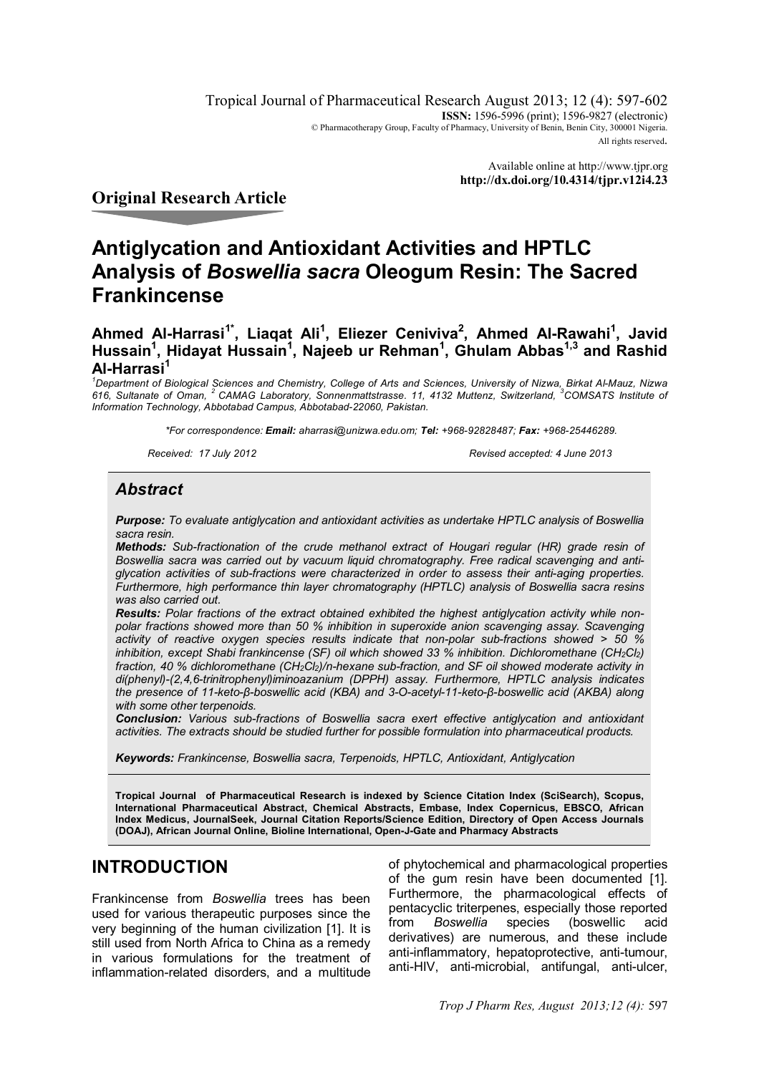Tropical Journal of Pharmaceutical Research August 2013; 12 (4): 597-602 **ISSN:** 1596-5996 (print): 1596-9827 (electronic) © Pharmacotherapy Group, Faculty of Pharmacy, University of Benin, Benin City, 300001 Nigeria. All rights reserved.

> Available online at http://www.tjpr.org **http://dx.doi.org/10.4314/tjpr.v12i4.23**

## **Original Research Article**

# **Antiglycation and Antioxidant Activities and HPTLC Analysis of** *Boswellia sacra* **Oleogum Resin: The Sacred Frankincense**

## **Ahmed Al-Harrasi1\*, Liaqat Ali<sup>1</sup> , Eliezer Ceniviva<sup>2</sup> , Ahmed Al-Rawahi<sup>1</sup> , Javid Hussain<sup>1</sup> , Hidayat Hussain<sup>1</sup> , Najeeb ur Rehman<sup>1</sup> , Ghulam Abbas1,3 and Rashid Al-Harrasi<sup>1</sup>**

*<sup>1</sup>Department of Biological Sciences and Chemistry, College of Arts and Sciences, University of Nizwa, Birkat Al-Mauz, Nizwa 616, Sultanate of Oman, <sup>2</sup>CAMAG Laboratory, Sonnenmattstrasse. 11, 4132 Muttenz, Switzerland, <sup>3</sup>COMSATS Institute of Information Technology, Abbotabad Campus, Abbotabad-22060, Pakistan.*

*\*For correspondence: Email: aharrasi@unizwa.edu.om; Tel: +968-92828487; Fax: +968-25446289.*

*Received: 17 July 2012 Revised accepted: 4 June 2013*

## *Abstract*

*Purpose: To evaluate antiglycation and antioxidant activities as undertake HPTLC analysis of Boswellia sacra resin.*

*Methods: Sub-fractionation of the crude methanol extract of Hougari regular (HR) grade resin of Boswellia sacra was carried out by vacuum liquid chromatography. Free radical scavenging and antiglycation activities of sub-fractions were characterized in order to assess their anti-aging properties. Furthermore, high performance thin layer chromatography (HPTLC) analysis of Boswellia sacra resins was also carried out.* 

*Results: Polar fractions of the extract obtained exhibited the highest antiglycation activity while nonpolar fractions showed more than 50 % inhibition in superoxide anion scavenging assay. Scavenging activity of reactive oxygen species results indicate that non-polar sub-fractions showed > 50 % inhibition, except Shabi frankincense (SF) oil which showed 33 % inhibition. Dichloromethane (CH<sub>2</sub>Cl<sub>2</sub>) fraction, 40 % dichloromethane (CH2Cl2)/n-hexane sub-fraction, and SF oil showed moderate activity in di(phenyl)-(2,4,6-trinitrophenyl)iminoazanium (DPPH) assay. Furthermore, HPTLC analysis indicates the presence of 11-keto-β-boswellic acid (KBA) and 3-O-acetyl-11-keto-β-boswellic acid (AKBA) along with some other terpenoids.* 

*Conclusion: Various sub-fractions of Boswellia sacra exert effective antiglycation and antioxidant activities. The extracts should be studied further for possible formulation into pharmaceutical products.*

*Keywords: Frankincense, Boswellia sacra, Terpenoids, HPTLC, Antioxidant, Antiglycation*

**Tropical Journal of Pharmaceutical Research is indexed by Science Citation Index (SciSearch), Scopus, International Pharmaceutical Abstract, Chemical Abstracts, Embase, Index Copernicus, EBSCO, African Index Medicus, JournalSeek, Journal Citation Reports/Science Edition, Directory of Open Access Journals (DOAJ), African Journal Online, Bioline International, Open-J-Gate and Pharmacy Abstracts**

## **INTRODUCTION**

Frankincense from *Boswellia* trees has been used for various therapeutic purposes since the very beginning of the human civilization [1]. It is still used from North Africa to China as a remedy in various formulations for the treatment of inflammation-related disorders, and a multitude

of phytochemical and pharmacological properties of the gum resin have been documented [1]. Furthermore, the pharmacological effects of pentacyclic triterpenes, especially those reported from *Boswellia* species (boswellic acid derivatives) are numerous, and these include anti-inflammatory, hepatoprotective, anti-tumour, anti-HIV, anti-microbial, antifungal, anti-ulcer,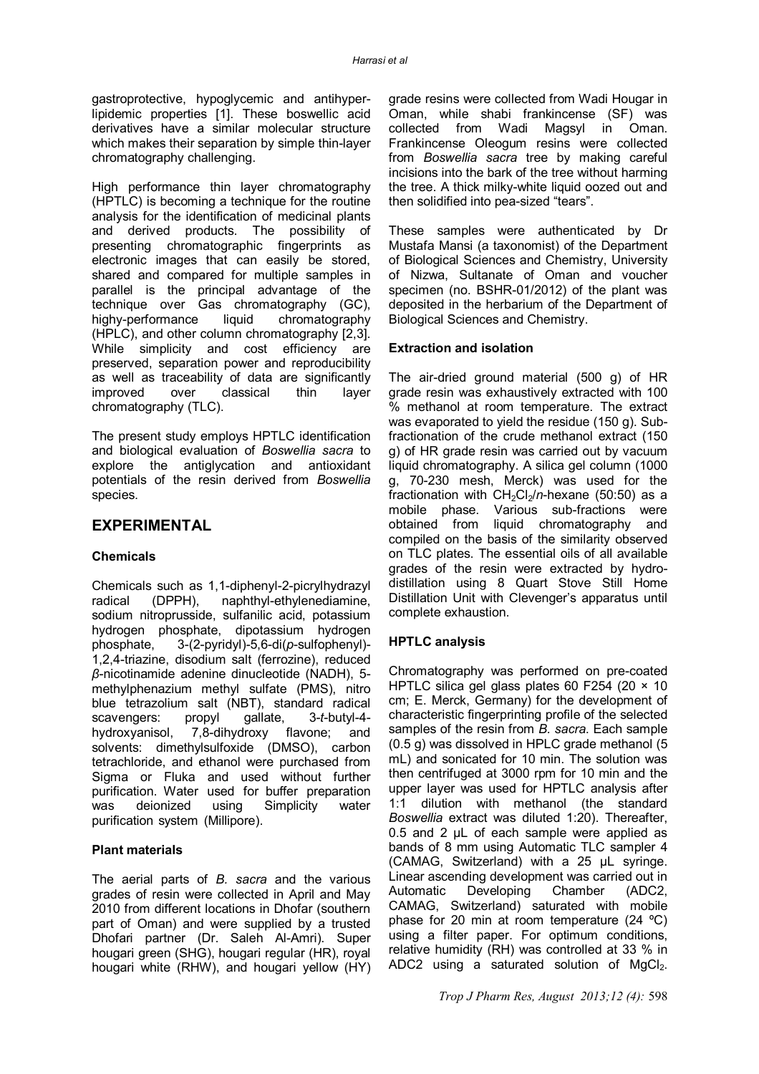gastroprotective, hypoglycemic and antihyperlipidemic properties [1]. These boswellic acid derivatives have a similar molecular structure which makes their separation by simple thin-layer chromatography challenging.

High performance thin layer chromatography (HPTLC) is becoming a technique for the routine analysis for the identification of medicinal plants and derived products. The possibility of presenting chromatographic fingerprints as electronic images that can easily be stored, shared and compared for multiple samples in parallel is the principal advantage of the technique over Gas chromatography (GC),<br>highy-performance liquid chromatography highy-performance (HPLC), and other column chromatography [2,3]. While simplicity and cost efficiency are preserved, separation power and reproducibility as well as traceability of data are significantly improved over classical thin layer chromatography (TLC).

The present study employs HPTLC identification and biological evaluation of *Boswellia sacra* to explore the antiglycation and antioxidant potentials of the resin derived from *Boswellia*  species.

## **EXPERIMENTAL**

## **Chemicals**

Chemicals such as 1,1-diphenyl-2-picrylhydrazyl radical (DPPH), naphthyl-ethylenediamine, sodium nitroprusside, sulfanilic acid, potassium hydrogen phosphate, dipotassium hydrogen phosphate, 3-(2-pyridyl)-5,6-di(*p*-sulfophenyl)- 1,2,4-triazine, disodium salt (ferrozine), reduced *β*-nicotinamide adenine dinucleotide (NADH), 5 methylphenazium methyl sulfate (PMS), nitro blue tetrazolium salt (NBT), standard radical scavengers: propyl gallate, 3-t-butyl-4scavengers: propyl hydroxyanisol, 7,8-dihydroxy flavone; and solvents: dimethylsulfoxide (DMSO), carbon tetrachloride, and ethanol were purchased from Sigma or Fluka and used without further purification. Water used for buffer preparation<br>was deionized using Simplicity water was deionized using Simplicity water purification system (Millipore).

## **Plant materials**

The aerial parts of *B. sacra* and the various grades of resin were collected in April and May 2010 from different locations in Dhofar (southern part of Oman) and were supplied by a trusted Dhofari partner (Dr. Saleh Al-Amri). Super hougari green (SHG), hougari regular (HR), royal hougari white (RHW), and hougari yellow (HY)

grade resins were collected from Wadi Hougar in Oman, while shabi frankincense (SF) was collected from Wadi Magsyl in Oman. Frankincense Oleogum resins were collected from *Boswellia sacra* tree by making careful incisions into the bark of the tree without harming the tree. A thick milky-white liquid oozed out and then solidified into pea-sized "tears".

These samples were authenticated by Dr Mustafa Mansi (a taxonomist) of the Department of Biological Sciences and Chemistry, University of Nizwa, Sultanate of Oman and voucher specimen (no. BSHR-01/2012) of the plant was deposited in the herbarium of the Department of Biological Sciences and Chemistry.

### **Extraction and isolation**

The air-dried ground material (500 g) of HR grade resin was exhaustively extracted with 100 % methanol at room temperature. The extract was evaporated to yield the residue (150 g). Subfractionation of the crude methanol extract (150 g) of HR grade resin was carried out by vacuum liquid chromatography. A silica gel column (1000 g, 70-230 mesh, Merck) was used for the fractionation with  $CH_2Cl_2/n$ -hexane (50:50) as a mobile phase. Various sub-fractions were obtained from liquid chromatography and compiled on the basis of the similarity observed on TLC plates. The essential oils of all available grades of the resin were extracted by hydrodistillation using 8 Quart Stove Still Home Distillation Unit with Clevenger's apparatus until complete exhaustion.

## **HPTLC analysis**

Chromatography was performed on pre-coated HPTLC silica gel glass plates 60 F254 (20 × 10 cm; E. Merck, Germany) for the development of characteristic fingerprinting profile of the selected samples of the resin from *B. sacra*. Each sample (0.5 g) was dissolved in HPLC grade methanol (5 mL) and sonicated for 10 min. The solution was then centrifuged at 3000 rpm for 10 min and the upper layer was used for HPTLC analysis after 1:1 dilution with methanol (the standard *Boswellia* extract was diluted 1:20). Thereafter, 0.5 and 2 μL of each sample were applied as bands of 8 mm using Automatic TLC sampler 4 (CAMAG, Switzerland) with a 25 μL syringe. Linear ascending development was carried out in Automatic Developing Chamber (ADC2, CAMAG, Switzerland) saturated with mobile phase for 20 min at room temperature (24 ºC) using a filter paper. For optimum conditions, relative humidity (RH) was controlled at 33 % in ADC2 using a saturated solution of  $MgCl<sub>2</sub>$ .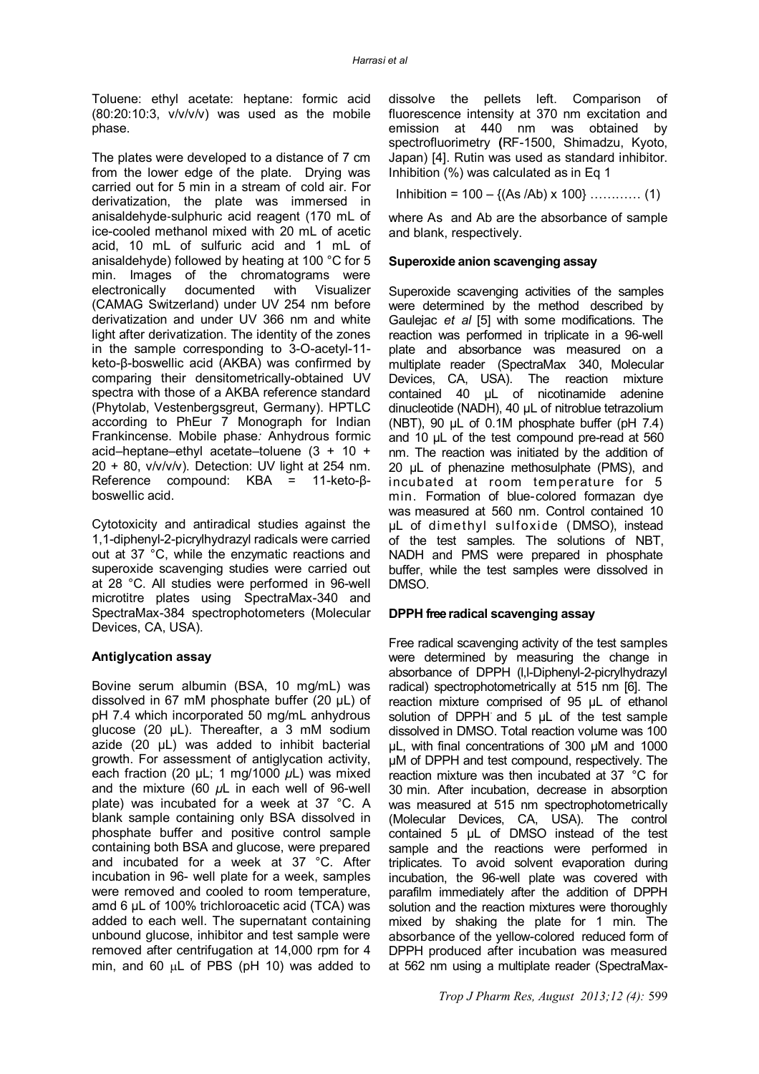Toluene: ethyl acetate: heptane: formic acid  $(80:20:10:3, v/v/v)$  was used as the mobile phase.

The plates were developed to a distance of 7 cm from the lower edge of the plate. Drying was carried out for 5 min in a stream of cold air. For derivatization, the plate was immersed in anisaldehyde‐sulphuric acid reagent (170 mL of ice-cooled methanol mixed with 20 mL of acetic acid, 10 mL of sulfuric acid and 1 mL of anisaldehyde) followed by heating at 100 °C for 5 min. Images of the chromatograms were electronically documented with Visualizer (CAMAG Switzerland) under UV 254 nm before derivatization and under UV 366 nm and white light after derivatization. The identity of the zones in the sample corresponding to 3-O-acetyl-11 keto-β-boswellic acid (AKBA) was confirmed by comparing their densitometrically-obtained UV spectra with those of a AKBA reference standard (Phytolab, Vestenbergsgreut, Germany). HPTLC according to PhEur 7 Monograph for Indian Frankincense. Mobile phase*:* Anhydrous formic acid–heptane–ethyl acetate–toluene (3 + 10 +  $20 + 80$ , v/v/v/v). Detection: UV light at 254 nm. Reference compound: KBA = 11-keto-βboswellic acid.

Cytotoxicity and antiradical studies against the 1,1-diphenyl-2-picrylhydrazyl radicals were carried out at 37 °C, while the enzymatic reactions and superoxide scavenging studies were carried out at 28 °C. All studies were performed in 96-well microtitre plates using SpectraMax-340 and SpectraMax-384 spectrophotometers (Molecular Devices, CA, USA).

#### **Antiglycation assay**

Bovine serum albumin (BSA, 10 mg/mL) was dissolved in 67 mM phosphate buffer (20 μL) of pH 7.4 which incorporated 50 mg/mL anhydrous glucose (20 μL). Thereafter, a 3 mM sodium azide (20 μL) was added to inhibit bacterial growth. For assessment of antiglycation activity, each fraction (20 μL; 1 mg/1000 *μ*L) was mixed and the mixture (60 *µ*L in each well of 96-well plate) was incubated for a week at 37 °C. A blank sample containing only BSA dissolved in phosphate buffer and positive control sample containing both BSA and glucose, were prepared and incubated for a week at 37 °C. After incubation in 96- well plate for a week, samples were removed and cooled to room temperature, amd 6 µL of 100% trichloroacetic acid (TCA) was added to each well. The supernatant containing unbound glucose, inhibitor and test sample were removed after centrifugation at 14,000 rpm for 4 min, and 60  $\mu$ L of PBS (pH 10) was added to

dissolve the pellets left. Comparison of fluorescence intensity at 370 nm excitation and emission at 440 nm was obtained by spectrofluorimetry **(**RF-1500, Shimadzu, Kyoto, Japan) [4]. Rutin was used as standard inhibitor. Inhibition (%) was calculated as in Eq 1

Inhibition =  $100 - \{(As / Ab) \times 100\}$  ………… (1)

where As and Ab are the absorbance of sample and blank, respectively.

#### **Superoxide anion scavenging assay**

Superoxide scavenging activities of the samples were determined by the method described by Gaulejac *et al* [5] with some modifications. The reaction was performed in triplicate in a 96-well plate and absorbance was measured on a multiplate reader (SpectraMax 340, Molecular Devices, CA, USA). The reaction mixture contained 40 µL of nicotinamide adenine dinucleotide (NADH), 40 µL of nitroblue tetrazolium (NBT), 90 µL of 0.1M phosphate buffer (pH 7.4) and 10 µL of the test compound pre-read at 560 nm. The reaction was initiated by the addition of 20 µL of phenazine methosulphate (PMS), and incubated at room temperature for 5 min. Formation of blue-colored formazan dye was measured at 560 nm. Control contained 10 µL of dimethyl sulfoxide (DMSO), instead of the test samples. The solutions of NBT, NADH and PMS were prepared in phosphate buffer, while the test samples were dissolved in DMSO.

## **DPPH free radical scavenging assay**

Free radical scavenging activity of the test samples were determined by measuring the change in absorbance of DPPH (l,l-Diphenyl-2-picrylhydrazyl radical) spectrophotometrically at 515 nm [6]. The reaction mixture comprised of 95 µL of ethanol solution of DPPH $\overline{\phantom{a}}$  and 5  $\mu$ L of the test sample dissolved in DMSO. Total reaction volume was 100 µL, with final concentrations of 300 µM and 1000 µM of DPPH and test compound, respectively. The reaction mixture was then incubated at 37 °C for 30 min. After incubation, decrease in absorption was measured at 515 nm spectrophotometrically (Molecular Devices, CA, USA). The control contained 5 µL of DMSO instead of the test sample and the reactions were performed in triplicates. To avoid solvent evaporation during incubation, the 96-well plate was covered with parafilm immediately after the addition of DPPH solution and the reaction mixtures were thoroughly mixed by shaking the plate for 1 min. The absorbance of the yellow-colored reduced form of DPPH produced after incubation was measured at 562 nm using a multiplate reader (SpectraMax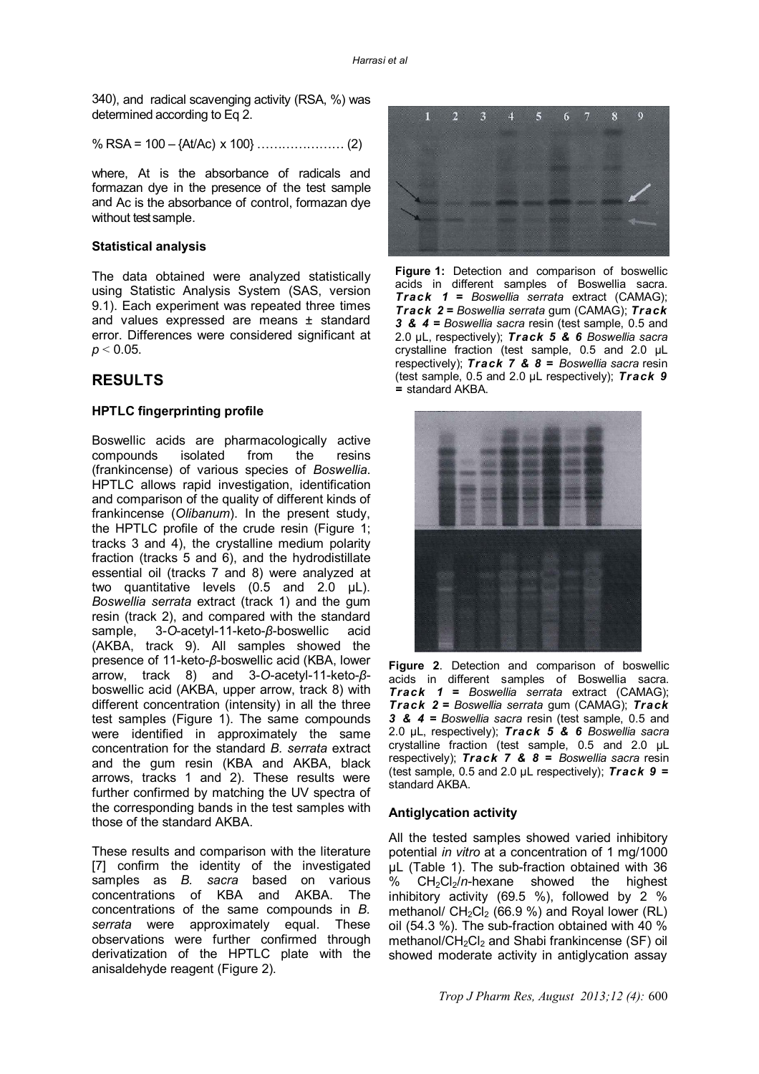340), and radical scavenging activity (RSA, %) was determined according to Eq 2.

% RSA = 100 – {At/Ac) x 100} ………………… (2)

where, At is the absorbance of radicals and formazan dye in the presence of the test sample and Ac is the absorbance of control, formazan dye without test sample.

#### **Statistical analysis**

The data obtained were analyzed statistically using Statistic Analysis System (SAS, version 9.1). Each experiment was repeated three times and values expressed are means ± standard error. Differences were considered significant at *p* ˂ 0.05.

## **RESULTS**

#### **HPTLC fingerprinting profile**

Boswellic acids are pharmacologically active compounds isolated from the resins (frankincense) of various species of *Boswellia*. HPTLC allows rapid investigation, identification and comparison of the quality of different kinds of frankincense (*Olibanum*). In the present study, the HPTLC profile of the crude resin (Figure 1; tracks 3 and 4), the crystalline medium polarity fraction (tracks 5 and 6), and the hydrodistillate essential oil (tracks 7 and 8) were analyzed at two quantitative levels (0.5 and 2.0 µL). *Boswellia serrata* extract (track 1) and the gum resin (track 2), and compared with the standard sample, 3-*O*-acetyl-11-keto-*β*-boswellic acid (AKBA, track 9). All samples showed the presence of 11-keto-*β*-boswellic acid (KBA, lower arrow, track 8) and 3-*O*-acetyl-11-keto-*β*boswellic acid (AKBA, upper arrow, track 8) with different concentration (intensity) in all the three test samples (Figure 1). The same compounds were identified in approximately the same concentration for the standard *B. serrata* extract and the gum resin (KBA and AKBA, black arrows, tracks 1 and 2). These results were further confirmed by matching the UV spectra of the corresponding bands in the test samples with those of the standard AKBA.

These results and comparison with the literature [7] confirm the identity of the investigated samples as *B. sacra* based on various concentrations of KBA and AKBA. The concentrations of the same compounds in *B. serrata* were approximately equal. These observations were further confirmed through derivatization of the HPTLC plate with the anisaldehyde reagent (Figure 2).



**Figure 1:** Detection and comparison of boswellic acids in different samples of Boswellia sacra. *Track 1* **=** *Boswellia serrata* extract (CAMAG); *Track 2* **=** *Boswellia serrata* gum (CAMAG); *Track 3 & 4* **=** *Boswellia sacra* resin (test sample, 0.5 and 2.0 µL, respectively); *Track 5 & 6 Boswellia sacra* crystalline fraction (test sample, 0.5 and 2.0 µL respectively); *Track 7 & 8* **=** *Boswellia sacra* resin (test sample, 0.5 and 2.0 µL respectively); *Track 9 =* standard AKBA.



**Figure 2**. Detection and comparison of boswellic acids in different samples of Boswellia sacra. *Track 1* **=** *Boswellia serrata* extract (CAMAG); *Track 2* **=** *Boswellia serrata* gum (CAMAG); *Track 3 & 4* **=** *Boswellia sacra* resin (test sample, 0.5 and 2.0 µL, respectively); *Track 5 & 6 Boswellia sacra* crystalline fraction (test sample, 0.5 and 2.0 µL respectively); *Track 7 & 8* **=** *Boswellia sacra* resin (test sample, 0.5 and 2.0 µL respectively); *Track 9 =* standard AKBA.

#### **Antiglycation activity**

All the tested samples showed varied inhibitory potential *in vitro* at a concentration of 1 mg/1000 μL (Table 1). The sub-fraction obtained with 36<br>% CH<sub>2</sub>Cl<sub>2</sub>/n-hexane showed the highest CH<sub>2</sub>Cl<sub>2</sub>/n-hexane showed the highest inhibitory activity (69.5 %), followed by 2 % methanol/  $CH_2Cl_2$  (66.9 %) and Royal lower (RL) oil (54.3 %). The sub-fraction obtained with 40 % methanol/CH<sub>2</sub>Cl<sub>2</sub> and Shabi frankincense (SF) oil showed moderate activity in antiglycation assay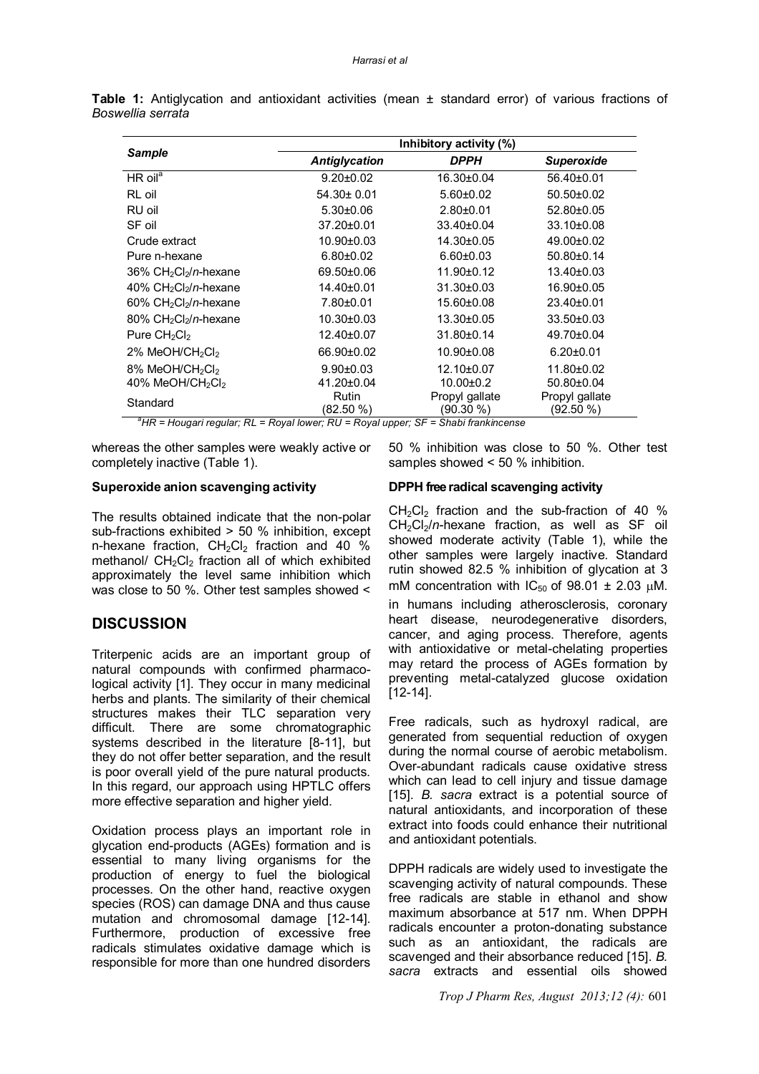| <b>Sample</b>                                                                                       | Inhibitory activity (%)   |                             |                             |
|-----------------------------------------------------------------------------------------------------|---------------------------|-----------------------------|-----------------------------|
|                                                                                                     | <b>Antiglycation</b>      | <b>DPPH</b>                 | <b>Superoxide</b>           |
| $HR$ oil <sup>a</sup>                                                                               | $9.20 \pm 0.02$           | 16.30±0.04                  | 56.40±0.01                  |
| RL oil                                                                                              | 54.30± 0.01               | $5.60 \pm 0.02$             | $50.50 \pm 0.02$            |
| RU oil                                                                                              | $5.30\pm0.06$             | $2.80 + 0.01$               | 52.80±0.05                  |
| SF oil                                                                                              | 37.20±0.01                | 33.40±0.04                  | 33.10±0.08                  |
| Crude extract                                                                                       | 10.90±0.03                | 14.30±0.05                  | 49.00±0.02                  |
| Pure n-hexane                                                                                       | $6.80 + 0.02$             | $6.60 \pm 0.03$             | $50.80 \pm 0.14$            |
| 36% CH <sub>2</sub> Cl <sub>2</sub> /n-hexane                                                       | 69.50±0.06                | 11.90±0.12                  | 13.40±0.03                  |
| 40% CH <sub>2</sub> Cl <sub>2</sub> /n-hexane                                                       | 14.40±0.01                | 31.30±0.03                  | 16.90±0.05                  |
| 60% CH <sub>2</sub> Cl <sub>2</sub> /n-hexane                                                       | 7.80±0.01                 | 15.60±0.08                  | 23.40±0.01                  |
| 80% CH <sub>2</sub> Cl <sub>2</sub> /n-hexane                                                       | $10.30 \pm 0.03$          | $13.30 \pm 0.05$            | $33.50 \pm 0.03$            |
| Pure $CH_2Cl_2$                                                                                     | 12.40±0.07                | 31.80±0.14                  | 49.70±0.04                  |
| 2% MeOH/CH <sub>2</sub> Cl <sub>2</sub>                                                             | 66.90±0.02                | 10.90±0.08                  | $6.20 \pm 0.01$             |
| 8% MeOH/CH <sub>2</sub> Cl <sub>2</sub>                                                             | $9.90 \pm 0.03$           | 12.10±0.07                  | 11.80±0.02                  |
| 40% MeOH/CH <sub>2</sub> Cl <sub>2</sub>                                                            | 41.20±0.04                | $10.00 \pm 0.2$             | 50.80±0.04                  |
| Standard                                                                                            | <b>Rutin</b><br>(82.50 %) | Propyl gallate<br>(90.30 %) | Propyl gallate<br>(92.50 %) |
| ${}^{\mathrm{a}}$ HR = Hougari regular; RL = Royal lower; RU = Royal upper; SF = Shabi frankincense |                           |                             |                             |

**Table 1:** Antiglycation and antioxidant activities (mean ± standard error) of various fractions of *Boswellia serrata*

whereas the other samples were weakly active or completely inactive (Table 1).

## **Superoxide anion scavenging activity**

The results obtained indicate that the non-polar sub-fractions exhibited > 50 % inhibition, except n-hexane fraction,  $CH_2Cl_2$  fraction and 40 % methanol/  $CH<sub>2</sub>Cl<sub>2</sub>$  fraction all of which exhibited approximately the level same inhibition which was close to 50 %. Other test samples showed <

## **DISCUSSION**

Triterpenic acids are an important group of natural compounds with confirmed pharmacological activity [1]. They occur in many medicinal herbs and plants. The similarity of their chemical structures makes their TLC separation very difficult. There are some chromatographic systems described in the literature [8-11], but they do not offer better separation, and the result is poor overall yield of the pure natural products. In this regard, our approach using HPTLC offers more effective separation and higher yield.

Oxidation process plays an important role in glycation end-products (AGEs) formation and is essential to many living organisms for the production of energy to fuel the biological processes. On the other hand, reactive oxygen species (ROS) can damage DNA and thus cause mutation and chromosomal damage [12-14]. Furthermore, production of excessive free radicals stimulates oxidative damage which is responsible for more than one hundred disorders

### 50 % inhibition was close to 50 %. Other test samples showed < 50 % inhibition.

## **DPPH free radical scavenging activity**

 $CH_2Cl_2$  fraction and the sub-fraction of 40 % CH2Cl2/*n*-hexane fraction, as well as SF oil showed moderate activity (Table 1), while the other samples were largely inactive. Standard rutin showed 82.5 % inhibition of glycation at 3 mM concentration with  $IC_{50}$  of 98.01  $\pm$  2.03  $\mu$ M. in humans including atherosclerosis, coronary heart disease, neurodegenerative disorders, cancer, and aging process. Therefore, agents with antioxidative or metal-chelating properties may retard the process of AGEs formation by preventing metal-catalyzed glucose oxidation [12-14].

Free radicals, such as hydroxyl radical, are generated from sequential reduction of oxygen during the normal course of aerobic metabolism. Over-abundant radicals cause oxidative stress which can lead to cell injury and tissue damage [15]. *B. sacra* extract is a potential source of natural antioxidants, and incorporation of these extract into foods could enhance their nutritional and antioxidant potentials.

DPPH radicals are widely used to investigate the scavenging activity of natural compounds. These free radicals are stable in ethanol and show maximum absorbance at 517 nm. When DPPH radicals encounter a proton-donating substance such as an antioxidant, the radicals are scavenged and their absorbance reduced [15]. *B. sacra* extracts and essential oils showed

*Trop J Pharm Res, August 2013;12 (4):* 601